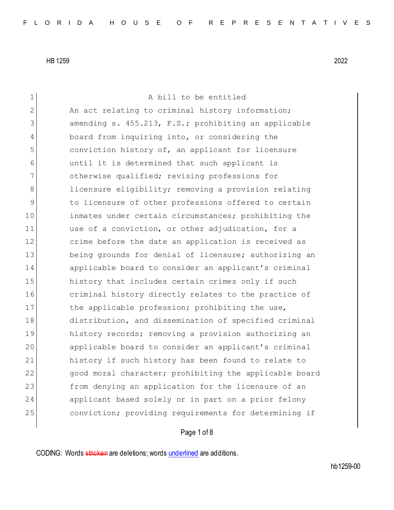1 A bill to be entitled 2 An act relating to criminal history information; 3 3 amending s. 455.213, F.S.; prohibiting an applicable 4 board from inquiring into, or considering the 5 conviction history of, an applicant for licensure 6 until it is determined that such applicant is 7 otherwise qualified; revising professions for 8 licensure eligibility; removing a provision relating 9 to licensure of other professions offered to certain 10 inmates under certain circumstances; prohibiting the 11 use of a conviction, or other adjudication, for a 12 crime before the date an application is received as 13 being grounds for denial of licensure; authorizing an 14 applicable board to consider an applicant's criminal 15 history that includes certain crimes only if such 16 criminal history directly relates to the practice of 17 the applicable profession; prohibiting the use, 18 distribution, and dissemination of specified criminal 19 history records; removing a provision authorizing an 20 applicable board to consider an applicant's criminal 21 history if such history has been found to relate to 22 good moral character; prohibiting the applicable board 23 from denying an application for the licensure of an 24 applicant based solely or in part on a prior felony 25 conviction; providing requirements for determining if

#### Page 1 of 8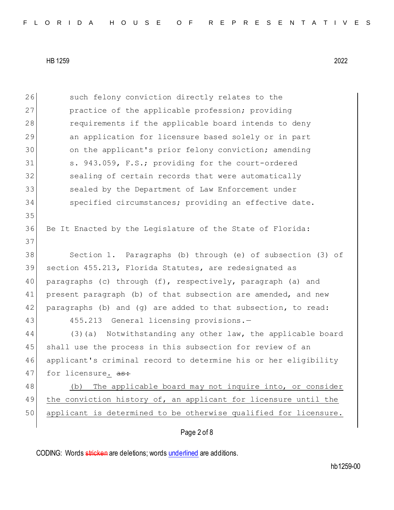Page 2 of 8 26 such felony conviction directly relates to the 27 practice of the applicable profession; providing 28 requirements if the applicable board intends to deny 29 an application for licensure based solely or in part 30 on the applicant's prior felony conviction; amending 31 s. 943.059, F.S.; providing for the court-ordered 32 sealing of certain records that were automatically 33 sealed by the Department of Law Enforcement under 34 specified circumstances; providing an effective date. 35 36 Be It Enacted by the Legislature of the State of Florida: 37 38 Section 1. Paragraphs (b) through (e) of subsection (3) of 39 section 455.213, Florida Statutes, are redesignated as 40 paragraphs (c) through (f), respectively, paragraph (a) and 41 present paragraph (b) of that subsection are amended, and new 42 paragraphs (b) and (g) are added to that subsection, to read: 43 455.213 General licensing provisions.-44 (3)(a) Notwithstanding any other law, the applicable board 45 shall use the process in this subsection for review of an 46 applicant's criminal record to determine his or her eligibility 47 for licensure. as: 48 (b) The applicable board may not inquire into, or consider 49 the conviction history of, an applicant for licensure until the 50 applicant is determined to be otherwise qualified for licensure.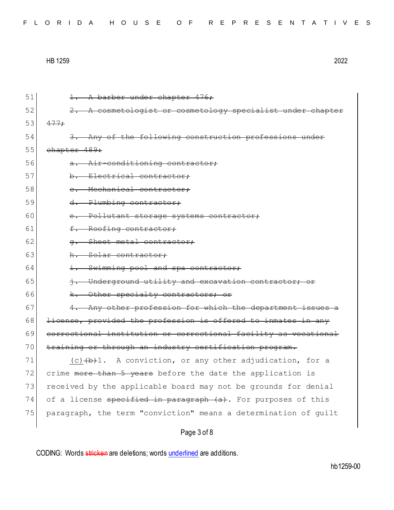|  |  |  |  |  |  |  |  |  |  |  |  |  |  | FLORIDA HOUSE OF REPRESENTATIVES |  |  |  |  |  |  |  |  |  |  |  |  |  |  |  |  |  |
|--|--|--|--|--|--|--|--|--|--|--|--|--|--|----------------------------------|--|--|--|--|--|--|--|--|--|--|--|--|--|--|--|--|--|
|--|--|--|--|--|--|--|--|--|--|--|--|--|--|----------------------------------|--|--|--|--|--|--|--|--|--|--|--|--|--|--|--|--|--|

| 51 | 1. A barber under chapter 476;                                  |
|----|-----------------------------------------------------------------|
| 52 | 2. A cosmetologist or cosmetology specialist under chapter      |
| 53 | 477:                                                            |
| 54 | 3. Any of the following construction professions under          |
| 55 | chapter 489:                                                    |
| 56 | a. Air-conditioning contractor;                                 |
| 57 | b. Electrical contractor;                                       |
| 58 | e. Mechanical contractor;                                       |
| 59 | d. Plumbing contractor;                                         |
| 60 | e. Pollutant storage systems contractor;                        |
| 61 | f. Roofing contractor;                                          |
| 62 | Sheet metal contractor;<br>$\sigma$ .                           |
| 63 | h. Solar contractor:                                            |
| 64 | i. Swimming pool and spa contractor;                            |
| 65 | i. Underground utility and excavation contractor; or            |
| 66 | k. Other specialty contractors; or                              |
| 67 | 4. Any other profession for which the department issues a       |
| 68 | license, provided the profession is offered to inmates in any   |
| 69 | correctional institution or correctional facility as vocational |
| 70 | training or through an industry certification program.          |
| 71 | $(c)$ $(b)$ 1. A conviction, or any other adjudication, for a   |
| 72 | crime more than 5 years before the date the application is      |
| 73 | received by the applicable board may not be grounds for denial  |
| 74 | of a license specified in paragraph (a). For purposes of this   |
| 75 | paragraph, the term "conviction" means a determination of quilt |
|    | Page 3 of 8                                                     |
|    |                                                                 |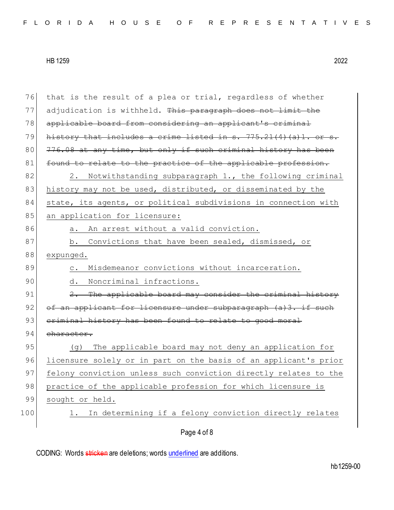| 76  | that is the result of a plea or trial, regardless of whether        |
|-----|---------------------------------------------------------------------|
| 77  | adjudication is withheld. This paragraph does not limit the         |
| 78  | applicable board from considering an applicant's criminal           |
| 79  | history that includes a crime listed in s. $775.21(4)(a)1.$ or s.   |
| 80  | 776.08 at any time, but only if such criminal history has been      |
| 81  | found to relate to the practice of the applicable profession.       |
| 82  | 2. Notwithstanding subparagraph 1., the following criminal          |
| 83  | history may not be used, distributed, or disseminated by the        |
| 84  | state, its agents, or political subdivisions in connection with     |
| 85  | an application for licensure:                                       |
| 86  | a. An arrest without a valid conviction.                            |
| 87  | b. Convictions that have been sealed, dismissed, or                 |
| 88  | expunged.                                                           |
| 89  | Misdemeanor convictions without incarceration.<br>$\circ$ .         |
| 90  | Noncriminal infractions.<br>d.                                      |
| 91  | 2. The applicable board may consider the criminal history           |
| 92  | of an applicant for licensure under subparagraph (a)3. if such      |
| 93  | eriminal history has been found to relate to good moral             |
| 94  | character.                                                          |
| 95  | The applicable board may not deny an application for<br>(q)         |
| 96  | licensure solely or in part on the basis of an applicant's prior    |
| 97  | felony conviction unless such conviction directly relates to the    |
| 98  | practice of the applicable profession for which licensure is        |
| 99  | sought or held.                                                     |
| 100 | In determining if a felony conviction directly relates<br>$\perp$ . |
|     | Page 4 of 8                                                         |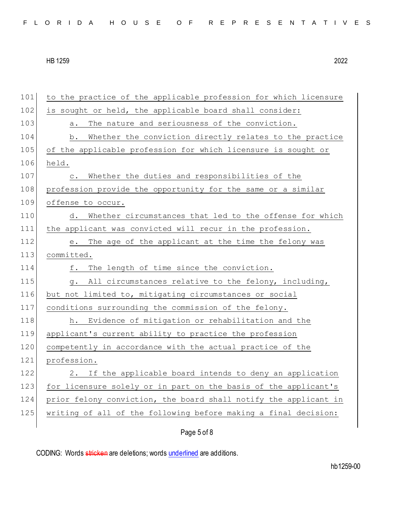| FLORIDA HOUSE OF REPRESENTATIVES |  |  |  |  |  |  |  |  |  |  |  |  |  |  |  |  |  |  |  |  |  |  |  |  |  |
|----------------------------------|--|--|--|--|--|--|--|--|--|--|--|--|--|--|--|--|--|--|--|--|--|--|--|--|--|
|----------------------------------|--|--|--|--|--|--|--|--|--|--|--|--|--|--|--|--|--|--|--|--|--|--|--|--|--|

| 101 | to the practice of the applicable profession for which licensure |
|-----|------------------------------------------------------------------|
| 102 | is sought or held, the applicable board shall consider:          |
| 103 | The nature and seriousness of the conviction.<br>а.              |
| 104 | Whether the conviction directly relates to the practice<br>b.    |
| 105 | of the applicable profession for which licensure is sought or    |
| 106 | held.                                                            |
| 107 | Whether the duties and responsibilities of the<br>$\circ$ .      |
| 108 | profession provide the opportunity for the same or a similar     |
| 109 | offense to occur.                                                |
| 110 | Whether circumstances that led to the offense for which<br>d.    |
| 111 | the applicant was convicted will recur in the profession.        |
| 112 | e. The age of the applicant at the time the felony was           |
| 113 | committed.                                                       |
| 114 | The length of time since the conviction.<br>f.                   |
| 115 | All circumstances relative to the felony, including,<br>q.       |
| 116 | but not limited to, mitigating circumstances or social           |
| 117 | conditions surrounding the commission of the felony.             |
| 118 | h. Evidence of mitigation or rehabilitation and the              |
| 119 | applicant's current ability to practice the profession           |
| 120 | competently in accordance with the actual practice of the        |
|     |                                                                  |
| 121 | profession.                                                      |
| 122 | If the applicable board intends to deny an application<br>2.     |
| 123 | for licensure solely or in part on the basis of the applicant's  |
| 124 | prior felony conviction, the board shall notify the applicant in |
| 125 | writing of all of the following before making a final decision:  |

# Page 5 of 8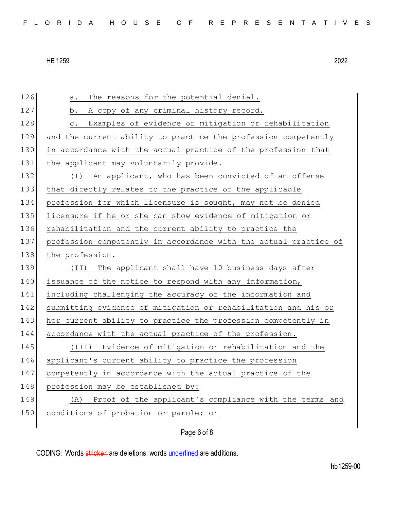126 a. The reasons for the potential denial. 127 b. A copy of any criminal history record. 128 c. Examples of evidence of mitigation or rehabilitation 129 and the current ability to practice the profession competently 130 in accordance with the actual practice of the profession that 131 the applicant may voluntarily provide. 132 (I) An applicant, who has been convicted of an offense 133 that directly relates to the practice of the applicable 134 profession for which licensure is sought, may not be denied 135 licensure if he or she can show evidence of mitigation or 136 rehabilitation and the current ability to practice the 137 profession competently in accordance with the actual practice of 138 the profession. 139 (II) The applicant shall have 10 business days after 140 issuance of the notice to respond with any information, 141 including challenging the accuracy of the information and 142 submitting evidence of mitigation or rehabilitation and his or 143 her current ability to practice the profession competently in 144 accordance with the actual practice of the profession. 145 (III) Evidence of mitigation or rehabilitation and the 146 applicant's current ability to practice the profession 147 competently in accordance with the actual practice of the 148 profession may be established by: 149 (A) Proof of the applicant's compliance with the terms and 150 conditions of probation or parole; or

Page 6 of 8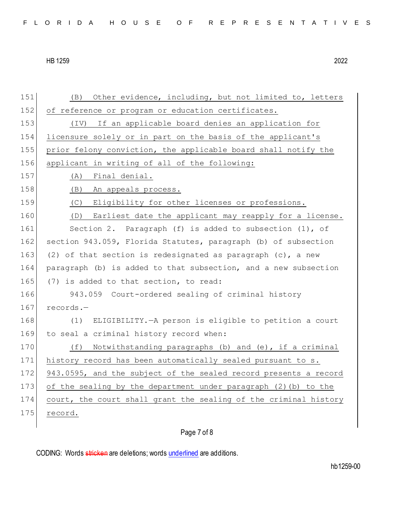| 151 | Other evidence, including, but not limited to, letters<br>(B)    |
|-----|------------------------------------------------------------------|
| 152 | of reference or program or education certificates.               |
| 153 | (IV) If an applicable board denies an application for            |
| 154 | licensure solely or in part on the basis of the applicant's      |
| 155 | prior felony conviction, the applicable board shall notify the   |
| 156 | applicant in writing of all of the following:                    |
| 157 | Final denial.<br>(A)                                             |
| 158 | An appeals process.<br>(B)                                       |
| 159 | Eligibility for other licenses or professions.<br>(C)            |
| 160 | Earliest date the applicant may reapply for a license.<br>(D)    |
| 161 | Section 2. Paragraph (f) is added to subsection (1), of          |
| 162 | section 943.059, Florida Statutes, paragraph (b) of subsection   |
| 163 | (2) of that section is redesignated as paragraph (c), a new      |
| 164 | paragraph (b) is added to that subsection, and a new subsection  |
| 165 | (7) is added to that section, to read:                           |
| 166 | 943.059 Court-ordered sealing of criminal history                |
| 167 | records.-                                                        |
| 168 | ELIGIBILITY. - A person is eligible to petition a court<br>(1)   |
| 169 | to seal a criminal history record when:                          |
| 170 | Notwithstanding paragraphs (b) and (e), if a criminal<br>(f)     |
| 171 | history record has been automatically sealed pursuant to s.      |
| 172 | 943.0595, and the subject of the sealed record presents a record |
| 173 | of the sealing by the department under paragraph (2) (b) to the  |
| 174 | court, the court shall grant the sealing of the criminal history |
| 175 | record.                                                          |
|     |                                                                  |

## Page 7 of 8